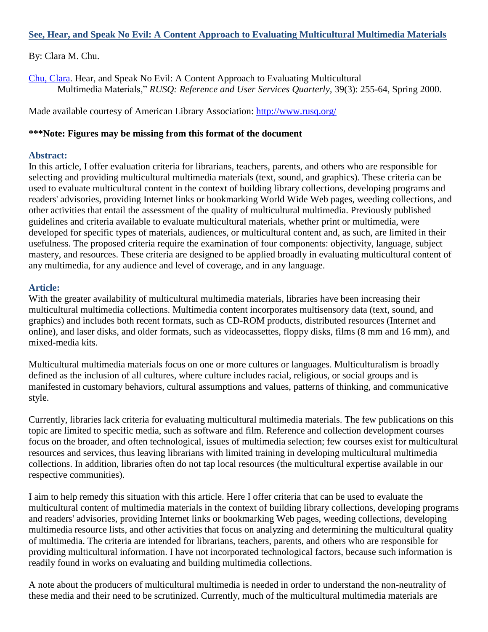### **See, Hear, and Speak No Evil: A Content Approach to Evaluating Multicultural Multimedia Materials**

### By: Clara M. Chu.

[Chu, Clara.](http://libres.uncg.edu/ir/uncg/clist.aspx?id=2864) Hear, and Speak No Evil: A Content Approach to Evaluating Multicultural Multimedia Materials," *RUSQ: Reference and User Services Quarterly,* 39(3): 255-64, Spring 2000.

Made available courtesy of American Library Association:<http://www.rusq.org/>

#### **\*\*\*Note: Figures may be missing from this format of the document**

#### **Abstract:**

In this article, I offer evaluation criteria for librarians, teachers, parents, and others who are responsible for selecting and providing multicultural multimedia materials (text, sound, and graphics). These criteria can be used to evaluate multicultural content in the context of building library collections, developing programs and readers' advisories, providing Internet links or bookmarking World Wide Web pages, weeding collections, and other activities that entail the assessment of the quality of multicultural multimedia. Previously published guidelines and criteria available to evaluate multicultural materials, whether print or multimedia, were developed for specific types of materials, audiences, or multicultural content and, as such, are limited in their usefulness. The proposed criteria require the examination of four components: objectivity, language, subject mastery, and resources. These criteria are designed to be applied broadly in evaluating multicultural content of any multimedia, for any audience and level of coverage, and in any language.

### **Article:**

With the greater availability of multicultural multimedia materials, libraries have been increasing their multicultural multimedia collections. Multimedia content incorporates multisensory data (text, sound, and graphics) and includes both recent formats, such as CD-ROM products, distributed resources (Internet and online), and laser disks, and older formats, such as videocassettes, floppy disks, films (8 mm and 16 mm), and mixed-media kits.

Multicultural multimedia materials focus on one or more cultures or languages. Multiculturalism is broadly defined as the inclusion of all cultures, where culture includes racial, religious, or social groups and is manifested in customary behaviors, cultural assumptions and values, patterns of thinking, and communicative style.

Currently, libraries lack criteria for evaluating multicultural multimedia materials. The few publications on this topic are limited to specific media, such as software and film. Reference and collection development courses focus on the broader, and often technological, issues of multimedia selection; few courses exist for multicultural resources and services, thus leaving librarians with limited training in developing multicultural multimedia collections. In addition, libraries often do not tap local resources (the multicultural expertise available in our respective communities).

I aim to help remedy this situation with this article. Here I offer criteria that can be used to evaluate the multicultural content of multimedia materials in the context of building library collections, developing programs and readers' advisories, providing Internet links or bookmarking Web pages, weeding collections, developing multimedia resource lists, and other activities that focus on analyzing and determining the multicultural quality of multimedia. The criteria are intended for librarians, teachers, parents, and others who are responsible for providing multicultural information. I have not incorporated technological factors, because such information is readily found in works on evaluating and building multimedia collections.

A note about the producers of multicultural multimedia is needed in order to understand the non-neutrality of these media and their need to be scrutinized. Currently, much of the multicultural multimedia materials are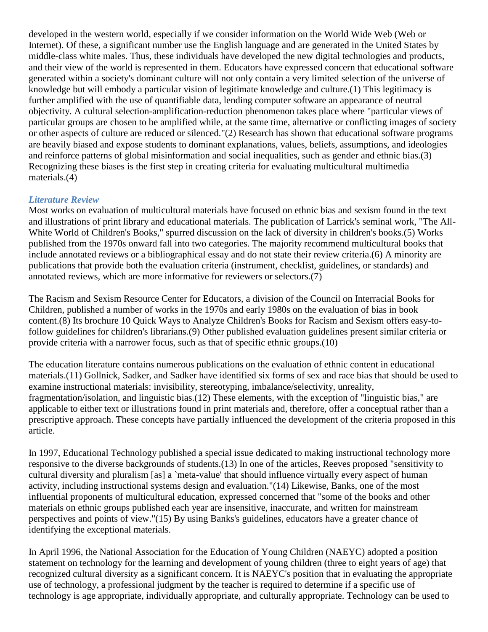developed in the western world, especially if we consider information on the World Wide Web (Web or Internet). Of these, a significant number use the English language and are generated in the United States by middle-class white males. Thus, these individuals have developed the new digital technologies and products, and their view of the world is represented in them. Educators have expressed concern that educational software generated within a society's dominant culture will not only contain a very limited selection of the universe of knowledge but will embody a particular vision of legitimate knowledge and culture.(1) This legitimacy is further amplified with the use of quantifiable data, lending computer software an appearance of neutral objectivity. A cultural selection-amplification-reduction phenomenon takes place where "particular views of particular groups are chosen to be amplified while, at the same time, alternative or conflicting images of society or other aspects of culture are reduced or silenced."(2) Research has shown that educational software programs are heavily biased and expose students to dominant explanations, values, beliefs, assumptions, and ideologies and reinforce patterns of global misinformation and social inequalities, such as gender and ethnic bias.(3) Recognizing these biases is the first step in creating criteria for evaluating multicultural multimedia materials.(4)

## *Literature Review*

Most works on evaluation of multicultural materials have focused on ethnic bias and sexism found in the text and illustrations of print library and educational materials. The publication of Larrick's seminal work, "The All-White World of Children's Books," spurred discussion on the lack of diversity in children's books.(5) Works published from the 1970s onward fall into two categories. The majority recommend multicultural books that include annotated reviews or a bibliographical essay and do not state their review criteria.(6) A minority are publications that provide both the evaluation criteria (instrument, checklist, guidelines, or standards) and annotated reviews, which are more informative for reviewers or selectors.(7)

The Racism and Sexism Resource Center for Educators, a division of the Council on Interracial Books for Children, published a number of works in the 1970s and early 1980s on the evaluation of bias in book content.(8) Its brochure 10 Quick Ways to Analyze Children's Books for Racism and Sexism offers easy-tofollow guidelines for children's librarians.(9) Other published evaluation guidelines present similar criteria or provide criteria with a narrower focus, such as that of specific ethnic groups.(10)

The education literature contains numerous publications on the evaluation of ethnic content in educational materials.(11) Gollnick, Sadker, and Sadker have identified six forms of sex and race bias that should be used to examine instructional materials: invisibility, stereotyping, imbalance/selectivity, unreality, fragmentation/isolation, and linguistic bias.(12) These elements, with the exception of "linguistic bias," are applicable to either text or illustrations found in print materials and, therefore, offer a conceptual rather than a prescriptive approach. These concepts have partially influenced the development of the criteria proposed in this article.

In 1997, Educational Technology published a special issue dedicated to making instructional technology more responsive to the diverse backgrounds of students.(13) In one of the articles, Reeves proposed "sensitivity to cultural diversity and pluralism [as] a `meta-value' that should influence virtually every aspect of human activity, including instructional systems design and evaluation."(14) Likewise, Banks, one of the most influential proponents of multicultural education, expressed concerned that "some of the books and other materials on ethnic groups published each year are insensitive, inaccurate, and written for mainstream perspectives and points of view."(15) By using Banks's guidelines, educators have a greater chance of identifying the exceptional materials.

In April 1996, the National Association for the Education of Young Children (NAEYC) adopted a position statement on technology for the learning and development of young children (three to eight years of age) that recognized cultural diversity as a significant concern. It is NAEYC's position that in evaluating the appropriate use of technology, a professional judgment by the teacher is required to determine if a specific use of technology is age appropriate, individually appropriate, and culturally appropriate. Technology can be used to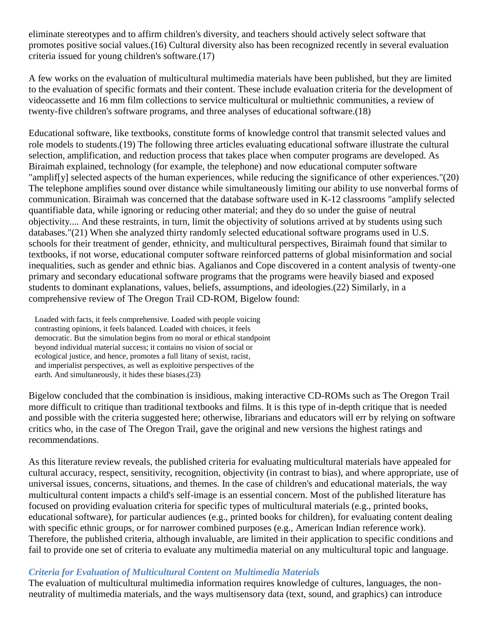eliminate stereotypes and to affirm children's diversity, and teachers should actively select software that promotes positive social values.(16) Cultural diversity also has been recognized recently in several evaluation criteria issued for young children's software.(17)

A few works on the evaluation of multicultural multimedia materials have been published, but they are limited to the evaluation of specific formats and their content. These include evaluation criteria for the development of videocassette and 16 mm film collections to service multicultural or multiethnic communities, a review of twenty-five children's software programs, and three analyses of educational software.(18)

Educational software, like textbooks, constitute forms of knowledge control that transmit selected values and role models to students.(19) The following three articles evaluating educational software illustrate the cultural selection, amplification, and reduction process that takes place when computer programs are developed. As Biraimah explained, technology (for example, the telephone) and now educational computer software "amplif[y] selected aspects of the human experiences, while reducing the significance of other experiences."(20) The telephone amplifies sound over distance while simultaneously limiting our ability to use nonverbal forms of communication. Biraimah was concerned that the database software used in K-12 classrooms "amplify selected quantifiable data, while ignoring or reducing other material; and they do so under the guise of neutral objectivity.... And these restraints, in turn, limit the objectivity of solutions arrived at by students using such databases."(21) When she analyzed thirty randomly selected educational software programs used in U.S. schools for their treatment of gender, ethnicity, and multicultural perspectives, Biraimah found that similar to textbooks, if not worse, educational computer software reinforced patterns of global misinformation and social inequalities, such as gender and ethnic bias. Agalianos and Cope discovered in a content analysis of twenty-one primary and secondary educational software programs that the programs were heavily biased and exposed students to dominant explanations, values, beliefs, assumptions, and ideologies.(22) Similarly, in a comprehensive review of The Oregon Trail CD-ROM, Bigelow found:

 Loaded with facts, it feels comprehensive. Loaded with people voicing contrasting opinions, it feels balanced. Loaded with choices, it feels democratic. But the simulation begins from no moral or ethical standpoint beyond individual material success; it contains no vision of social or ecological justice, and hence, promotes a full litany of sexist, racist, and imperialist perspectives, as well as exploitive perspectives of the earth. And simultaneously, it hides these biases.(23)

Bigelow concluded that the combination is insidious, making interactive CD-ROMs such as The Oregon Trail more difficult to critique than traditional textbooks and films. It is this type of in-depth critique that is needed and possible with the criteria suggested here; otherwise, librarians and educators will err by relying on software critics who, in the case of The Oregon Trail, gave the original and new versions the highest ratings and recommendations.

As this literature review reveals, the published criteria for evaluating multicultural materials have appealed for cultural accuracy, respect, sensitivity, recognition, objectivity (in contrast to bias), and where appropriate, use of universal issues, concerns, situations, and themes. In the case of children's and educational materials, the way multicultural content impacts a child's self-image is an essential concern. Most of the published literature has focused on providing evaluation criteria for specific types of multicultural materials (e.g., printed books, educational software), for particular audiences (e.g., printed books for children), for evaluating content dealing with specific ethnic groups, or for narrower combined purposes (e.g., American Indian reference work). Therefore, the published criteria, although invaluable, are limited in their application to specific conditions and fail to provide one set of criteria to evaluate any multimedia material on any multicultural topic and language.

#### *Criteria for Evaluation of Multicultural Content on Multimedia Materials*

The evaluation of multicultural multimedia information requires knowledge of cultures, languages, the nonneutrality of multimedia materials, and the ways multisensory data (text, sound, and graphics) can introduce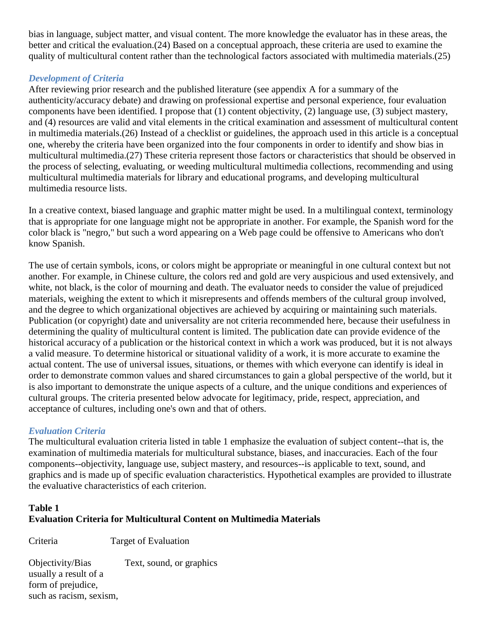bias in language, subject matter, and visual content. The more knowledge the evaluator has in these areas, the better and critical the evaluation.(24) Based on a conceptual approach, these criteria are used to examine the quality of multicultural content rather than the technological factors associated with multimedia materials.(25)

## *Development of Criteria*

After reviewing prior research and the published literature (see appendix A for a summary of the authenticity/accuracy debate) and drawing on professional expertise and personal experience, four evaluation components have been identified. I propose that (1) content objectivity, (2) language use, (3) subject mastery, and (4) resources are valid and vital elements in the critical examination and assessment of multicultural content in multimedia materials.(26) Instead of a checklist or guidelines, the approach used in this article is a conceptual one, whereby the criteria have been organized into the four components in order to identify and show bias in multicultural multimedia.(27) These criteria represent those factors or characteristics that should be observed in the process of selecting, evaluating, or weeding multicultural multimedia collections, recommending and using multicultural multimedia materials for library and educational programs, and developing multicultural multimedia resource lists.

In a creative context, biased language and graphic matter might be used. In a multilingual context, terminology that is appropriate for one language might not be appropriate in another. For example, the Spanish word for the color black is "negro," but such a word appearing on a Web page could be offensive to Americans who don't know Spanish.

The use of certain symbols, icons, or colors might be appropriate or meaningful in one cultural context but not another. For example, in Chinese culture, the colors red and gold are very auspicious and used extensively, and white, not black, is the color of mourning and death. The evaluator needs to consider the value of prejudiced materials, weighing the extent to which it misrepresents and offends members of the cultural group involved, and the degree to which organizational objectives are achieved by acquiring or maintaining such materials. Publication (or copyright) date and universality are not criteria recommended here, because their usefulness in determining the quality of multicultural content is limited. The publication date can provide evidence of the historical accuracy of a publication or the historical context in which a work was produced, but it is not always a valid measure. To determine historical or situational validity of a work, it is more accurate to examine the actual content. The use of universal issues, situations, or themes with which everyone can identify is ideal in order to demonstrate common values and shared circumstances to gain a global perspective of the world, but it is also important to demonstrate the unique aspects of a culture, and the unique conditions and experiences of cultural groups. The criteria presented below advocate for legitimacy, pride, respect, appreciation, and acceptance of cultures, including one's own and that of others.

# *Evaluation Criteria*

The multicultural evaluation criteria listed in table 1 emphasize the evaluation of subject content--that is, the examination of multimedia materials for multicultural substance, biases, and inaccuracies. Each of the four components--objectivity, language use, subject mastery, and resources--is applicable to text, sound, and graphics and is made up of specific evaluation characteristics. Hypothetical examples are provided to illustrate the evaluative characteristics of each criterion.

## **Table 1 Evaluation Criteria for Multicultural Content on Multimedia Materials**

Criteria Target of Evaluation

Objectivity/Bias Text, sound, or graphics usually a result of a form of prejudice, such as racism, sexism,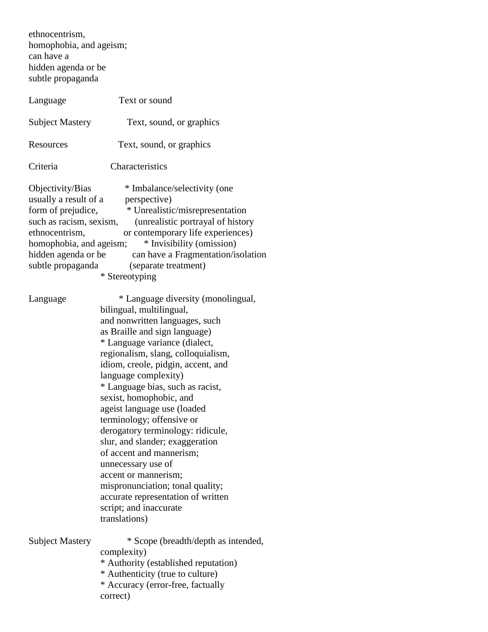ethnocentrism, homophobia, and ageism; can have a hidden agenda or be subtle propaganda

| Language                                                                                                                                                                            | Text or sound                                                                                                                                                                                                                                                                                                                                                                                                                                                                                                                                                                                                                                                            |
|-------------------------------------------------------------------------------------------------------------------------------------------------------------------------------------|--------------------------------------------------------------------------------------------------------------------------------------------------------------------------------------------------------------------------------------------------------------------------------------------------------------------------------------------------------------------------------------------------------------------------------------------------------------------------------------------------------------------------------------------------------------------------------------------------------------------------------------------------------------------------|
| <b>Subject Mastery</b>                                                                                                                                                              | Text, sound, or graphics                                                                                                                                                                                                                                                                                                                                                                                                                                                                                                                                                                                                                                                 |
| Resources                                                                                                                                                                           | Text, sound, or graphics                                                                                                                                                                                                                                                                                                                                                                                                                                                                                                                                                                                                                                                 |
| Criteria                                                                                                                                                                            | Characteristics                                                                                                                                                                                                                                                                                                                                                                                                                                                                                                                                                                                                                                                          |
| Objectivity/Bias<br>usually a result of a<br>form of prejudice,<br>such as racism, sexism,<br>ethnocentrism,<br>homophobia, and ageism;<br>hidden agenda or be<br>subtle propaganda | * Imbalance/selectivity (one<br>perspective)<br>* Unrealistic/misrepresentation<br>(unrealistic portrayal of history<br>or contemporary life experiences)<br>* Invisibility (omission)<br>can have a Fragmentation/isolation<br>(separate treatment)<br>* Stereotyping                                                                                                                                                                                                                                                                                                                                                                                                   |
| Language                                                                                                                                                                            | * Language diversity (monolingual,<br>bilingual, multilingual,<br>and nonwritten languages, such<br>as Braille and sign language)<br>* Language variance (dialect,<br>regionalism, slang, colloquialism,<br>idiom, creole, pidgin, accent, and<br>language complexity)<br>* Language bias, such as racist,<br>sexist, homophobic, and<br>ageist language use (loaded<br>terminology; offensive or<br>derogatory terminology: ridicule,<br>slur, and slander; exaggeration<br>of accent and mannerism;<br>unnecessary use of<br>accent or mannerism;<br>mispronunciation; tonal quality;<br>accurate representation of written<br>script; and inaccurate<br>translations) |
| <b>Subject Mastery</b>                                                                                                                                                              | * Scope (breadth/depth as intended,<br>complexity)<br>* Authority (established reputation)<br>* Authenticity (true to culture)<br>* Accuracy (error-free, factually<br>correct)                                                                                                                                                                                                                                                                                                                                                                                                                                                                                          |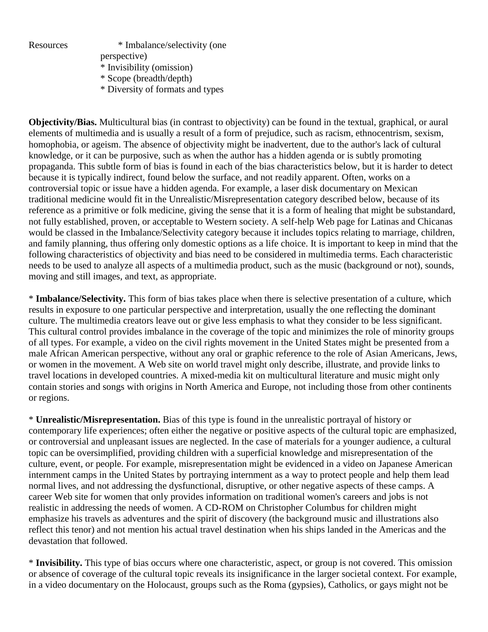

Resources \* Imbalance/selectivity (one

 perspective) \* Invisibility (omission)

- \* Scope (breadth/depth)
- \* Diversity of formats and types

**Objectivity/Bias.** Multicultural bias (in contrast to objectivity) can be found in the textual, graphical, or aural elements of multimedia and is usually a result of a form of prejudice, such as racism, ethnocentrism, sexism, homophobia, or ageism. The absence of objectivity might be inadvertent, due to the author's lack of cultural knowledge, or it can be purposive, such as when the author has a hidden agenda or is subtly promoting propaganda. This subtle form of bias is found in each of the bias characteristics below, but it is harder to detect because it is typically indirect, found below the surface, and not readily apparent. Often, works on a controversial topic or issue have a hidden agenda. For example, a laser disk documentary on Mexican traditional medicine would fit in the Unrealistic/Misrepresentation category described below, because of its reference as a primitive or folk medicine, giving the sense that it is a form of healing that might be substandard, not fully established, proven, or acceptable to Western society. A self-help Web page for Latinas and Chicanas would be classed in the Imbalance/Selectivity category because it includes topics relating to marriage, children, and family planning, thus offering only domestic options as a life choice. It is important to keep in mind that the following characteristics of objectivity and bias need to be considered in multimedia terms. Each characteristic needs to be used to analyze all aspects of a multimedia product, such as the music (background or not), sounds, moving and still images, and text, as appropriate.

\* **Imbalance/Selectivity.** This form of bias takes place when there is selective presentation of a culture, which results in exposure to one particular perspective and interpretation, usually the one reflecting the dominant culture. The multimedia creators leave out or give less emphasis to what they consider to be less significant. This cultural control provides imbalance in the coverage of the topic and minimizes the role of minority groups of all types. For example, a video on the civil rights movement in the United States might be presented from a male African American perspective, without any oral or graphic reference to the role of Asian Americans, Jews, or women in the movement. A Web site on world travel might only describe, illustrate, and provide links to travel locations in developed countries. A mixed-media kit on multicultural literature and music might only contain stories and songs with origins in North America and Europe, not including those from other continents or regions.

\* **Unrealistic/Misrepresentation.** Bias of this type is found in the unrealistic portrayal of history or contemporary life experiences; often either the negative or positive aspects of the cultural topic are emphasized, or controversial and unpleasant issues are neglected. In the case of materials for a younger audience, a cultural topic can be oversimplified, providing children with a superficial knowledge and misrepresentation of the culture, event, or people. For example, misrepresentation might be evidenced in a video on Japanese American internment camps in the United States by portraying internment as a way to protect people and help them lead normal lives, and not addressing the dysfunctional, disruptive, or other negative aspects of these camps. A career Web site for women that only provides information on traditional women's careers and jobs is not realistic in addressing the needs of women. A CD-ROM on Christopher Columbus for children might emphasize his travels as adventures and the spirit of discovery (the background music and illustrations also reflect this tenor) and not mention his actual travel destination when his ships landed in the Americas and the devastation that followed.

\* **Invisibility.** This type of bias occurs where one characteristic, aspect, or group is not covered. This omission or absence of coverage of the cultural topic reveals its insignificance in the larger societal context. For example, in a video documentary on the Holocaust, groups such as the Roma (gypsies), Catholics, or gays might not be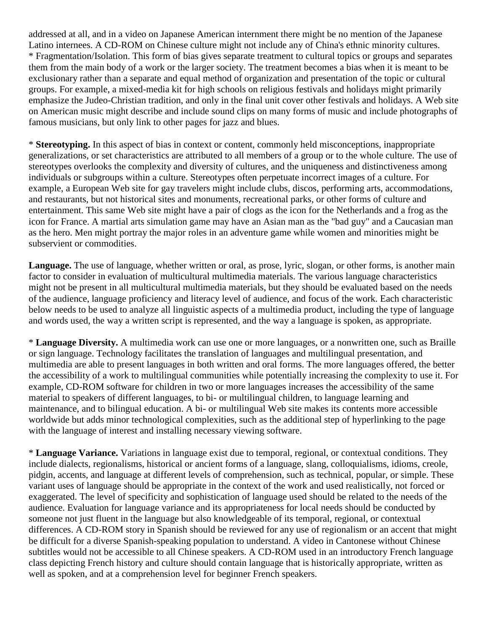addressed at all, and in a video on Japanese American internment there might be no mention of the Japanese Latino internees. A CD-ROM on Chinese culture might not include any of China's ethnic minority cultures. \* Fragmentation/Isolation. This form of bias gives separate treatment to cultural topics or groups and separates them from the main body of a work or the larger society. The treatment becomes a bias when it is meant to be exclusionary rather than a separate and equal method of organization and presentation of the topic or cultural groups. For example, a mixed-media kit for high schools on religious festivals and holidays might primarily emphasize the Judeo-Christian tradition, and only in the final unit cover other festivals and holidays. A Web site on American music might describe and include sound clips on many forms of music and include photographs of famous musicians, but only link to other pages for jazz and blues.

\* **Stereotyping.** In this aspect of bias in context or content, commonly held misconceptions, inappropriate generalizations, or set characteristics are attributed to all members of a group or to the whole culture. The use of stereotypes overlooks the complexity and diversity of cultures, and the uniqueness and distinctiveness among individuals or subgroups within a culture. Stereotypes often perpetuate incorrect images of a culture. For example, a European Web site for gay travelers might include clubs, discos, performing arts, accommodations, and restaurants, but not historical sites and monuments, recreational parks, or other forms of culture and entertainment. This same Web site might have a pair of clogs as the icon for the Netherlands and a frog as the icon for France. A martial arts simulation game may have an Asian man as the "bad guy" and a Caucasian man as the hero. Men might portray the major roles in an adventure game while women and minorities might be subservient or commodities.

**Language.** The use of language, whether written or oral, as prose, lyric, slogan, or other forms, is another main factor to consider in evaluation of multicultural multimedia materials. The various language characteristics might not be present in all multicultural multimedia materials, but they should be evaluated based on the needs of the audience, language proficiency and literacy level of audience, and focus of the work. Each characteristic below needs to be used to analyze all linguistic aspects of a multimedia product, including the type of language and words used, the way a written script is represented, and the way a language is spoken, as appropriate.

\* **Language Diversity.** A multimedia work can use one or more languages, or a nonwritten one, such as Braille or sign language. Technology facilitates the translation of languages and multilingual presentation, and multimedia are able to present languages in both written and oral forms. The more languages offered, the better the accessibility of a work to multilingual communities while potentially increasing the complexity to use it. For example, CD-ROM software for children in two or more languages increases the accessibility of the same material to speakers of different languages, to bi- or multilingual children, to language learning and maintenance, and to bilingual education. A bi- or multilingual Web site makes its contents more accessible worldwide but adds minor technological complexities, such as the additional step of hyperlinking to the page with the language of interest and installing necessary viewing software.

\* **Language Variance.** Variations in language exist due to temporal, regional, or contextual conditions. They include dialects, regionalisms, historical or ancient forms of a language, slang, colloquialisms, idioms, creole, pidgin, accents, and language at different levels of comprehension, such as technical, popular, or simple. These variant uses of language should be appropriate in the context of the work and used realistically, not forced or exaggerated. The level of specificity and sophistication of language used should be related to the needs of the audience. Evaluation for language variance and its appropriateness for local needs should be conducted by someone not just fluent in the language but also knowledgeable of its temporal, regional, or contextual differences. A CD-ROM story in Spanish should be reviewed for any use of regionalism or an accent that might be difficult for a diverse Spanish-speaking population to understand. A video in Cantonese without Chinese subtitles would not be accessible to all Chinese speakers. A CD-ROM used in an introductory French language class depicting French history and culture should contain language that is historically appropriate, written as well as spoken, and at a comprehension level for beginner French speakers.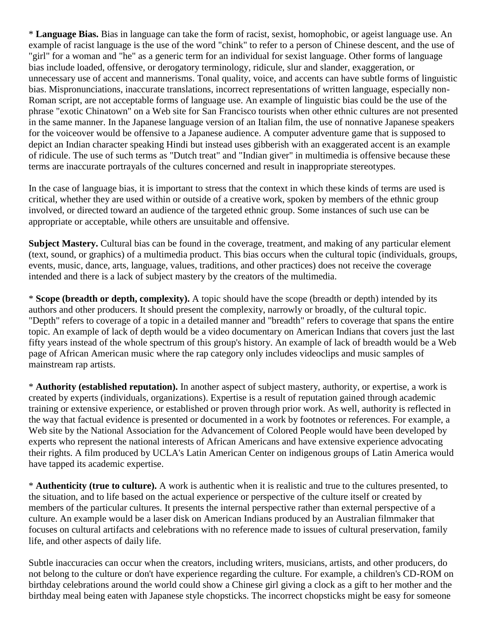\* **Language Bias.** Bias in language can take the form of racist, sexist, homophobic, or ageist language use. An example of racist language is the use of the word "chink" to refer to a person of Chinese descent, and the use of "girl" for a woman and "he" as a generic term for an individual for sexist language. Other forms of language bias include loaded, offensive, or derogatory terminology, ridicule, slur and slander, exaggeration, or unnecessary use of accent and mannerisms. Tonal quality, voice, and accents can have subtle forms of linguistic bias. Mispronunciations, inaccurate translations, incorrect representations of written language, especially non-Roman script, are not acceptable forms of language use. An example of linguistic bias could be the use of the phrase "exotic Chinatown" on a Web site for San Francisco tourists when other ethnic cultures are not presented in the same manner. In the Japanese language version of an Italian film, the use of nonnative Japanese speakers for the voiceover would be offensive to a Japanese audience. A computer adventure game that is supposed to depict an Indian character speaking Hindi but instead uses gibberish with an exaggerated accent is an example of ridicule. The use of such terms as "Dutch treat" and "Indian giver" in multimedia is offensive because these terms are inaccurate portrayals of the cultures concerned and result in inappropriate stereotypes.

In the case of language bias, it is important to stress that the context in which these kinds of terms are used is critical, whether they are used within or outside of a creative work, spoken by members of the ethnic group involved, or directed toward an audience of the targeted ethnic group. Some instances of such use can be appropriate or acceptable, while others are unsuitable and offensive.

**Subject Mastery.** Cultural bias can be found in the coverage, treatment, and making of any particular element (text, sound, or graphics) of a multimedia product. This bias occurs when the cultural topic (individuals, groups, events, music, dance, arts, language, values, traditions, and other practices) does not receive the coverage intended and there is a lack of subject mastery by the creators of the multimedia.

\* **Scope (breadth or depth, complexity).** A topic should have the scope (breadth or depth) intended by its authors and other producers. It should present the complexity, narrowly or broadly, of the cultural topic. "Depth" refers to coverage of a topic in a detailed manner and "breadth" refers to coverage that spans the entire topic. An example of lack of depth would be a video documentary on American Indians that covers just the last fifty years instead of the whole spectrum of this group's history. An example of lack of breadth would be a Web page of African American music where the rap category only includes videoclips and music samples of mainstream rap artists.

\* **Authority (established reputation).** In another aspect of subject mastery, authority, or expertise, a work is created by experts (individuals, organizations). Expertise is a result of reputation gained through academic training or extensive experience, or established or proven through prior work. As well, authority is reflected in the way that factual evidence is presented or documented in a work by footnotes or references. For example, a Web site by the National Association for the Advancement of Colored People would have been developed by experts who represent the national interests of African Americans and have extensive experience advocating their rights. A film produced by UCLA's Latin American Center on indigenous groups of Latin America would have tapped its academic expertise.

\* **Authenticity (true to culture).** A work is authentic when it is realistic and true to the cultures presented, to the situation, and to life based on the actual experience or perspective of the culture itself or created by members of the particular cultures. It presents the internal perspective rather than external perspective of a culture. An example would be a laser disk on American Indians produced by an Australian filmmaker that focuses on cultural artifacts and celebrations with no reference made to issues of cultural preservation, family life, and other aspects of daily life.

Subtle inaccuracies can occur when the creators, including writers, musicians, artists, and other producers, do not belong to the culture or don't have experience regarding the culture. For example, a children's CD-ROM on birthday celebrations around the world could show a Chinese girl giving a clock as a gift to her mother and the birthday meal being eaten with Japanese style chopsticks. The incorrect chopsticks might be easy for someone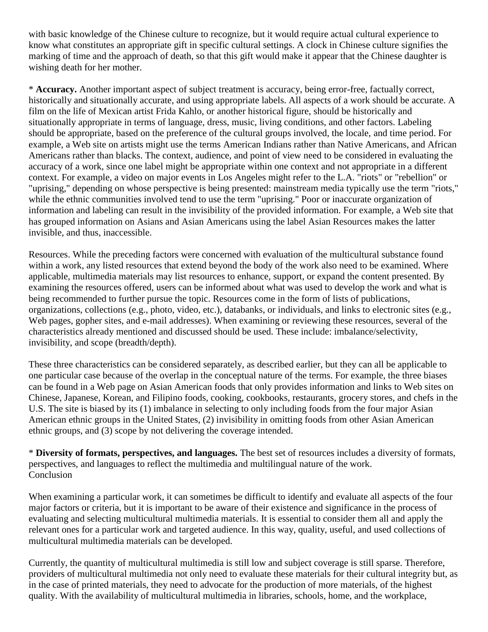with basic knowledge of the Chinese culture to recognize, but it would require actual cultural experience to know what constitutes an appropriate gift in specific cultural settings. A clock in Chinese culture signifies the marking of time and the approach of death, so that this gift would make it appear that the Chinese daughter is wishing death for her mother.

\* **Accuracy.** Another important aspect of subject treatment is accuracy, being error-free, factually correct, historically and situationally accurate, and using appropriate labels. All aspects of a work should be accurate. A film on the life of Mexican artist Frida Kahlo, or another historical figure, should be historically and situationally appropriate in terms of language, dress, music, living conditions, and other factors. Labeling should be appropriate, based on the preference of the cultural groups involved, the locale, and time period. For example, a Web site on artists might use the terms American Indians rather than Native Americans, and African Americans rather than blacks. The context, audience, and point of view need to be considered in evaluating the accuracy of a work, since one label might be appropriate within one context and not appropriate in a different context. For example, a video on major events in Los Angeles might refer to the L.A. "riots" or "rebellion" or "uprising," depending on whose perspective is being presented: mainstream media typically use the term "riots," while the ethnic communities involved tend to use the term "uprising." Poor or inaccurate organization of information and labeling can result in the invisibility of the provided information. For example, a Web site that has grouped information on Asians and Asian Americans using the label Asian Resources makes the latter invisible, and thus, inaccessible.

Resources. While the preceding factors were concerned with evaluation of the multicultural substance found within a work, any listed resources that extend beyond the body of the work also need to be examined. Where applicable, multimedia materials may list resources to enhance, support, or expand the content presented. By examining the resources offered, users can be informed about what was used to develop the work and what is being recommended to further pursue the topic. Resources come in the form of lists of publications, organizations, collections (e.g., photo, video, etc.), databanks, or individuals, and links to electronic sites (e.g., Web pages, gopher sites, and e-mail addresses). When examining or reviewing these resources, several of the characteristics already mentioned and discussed should be used. These include: imbalance/selectivity, invisibility, and scope (breadth/depth).

These three characteristics can be considered separately, as described earlier, but they can all be applicable to one particular case because of the overlap in the conceptual nature of the terms. For example, the three biases can be found in a Web page on Asian American foods that only provides information and links to Web sites on Chinese, Japanese, Korean, and Filipino foods, cooking, cookbooks, restaurants, grocery stores, and chefs in the U.S. The site is biased by its (1) imbalance in selecting to only including foods from the four major Asian American ethnic groups in the United States, (2) invisibility in omitting foods from other Asian American ethnic groups, and (3) scope by not delivering the coverage intended.

\* **Diversity of formats, perspectives, and languages.** The best set of resources includes a diversity of formats, perspectives, and languages to reflect the multimedia and multilingual nature of the work. Conclusion

When examining a particular work, it can sometimes be difficult to identify and evaluate all aspects of the four major factors or criteria, but it is important to be aware of their existence and significance in the process of evaluating and selecting multicultural multimedia materials. It is essential to consider them all and apply the relevant ones for a particular work and targeted audience. In this way, quality, useful, and used collections of multicultural multimedia materials can be developed.

Currently, the quantity of multicultural multimedia is still low and subject coverage is still sparse. Therefore, providers of multicultural multimedia not only need to evaluate these materials for their cultural integrity but, as in the case of printed materials, they need to advocate for the production of more materials, of the highest quality. With the availability of multicultural multimedia in libraries, schools, home, and the workplace,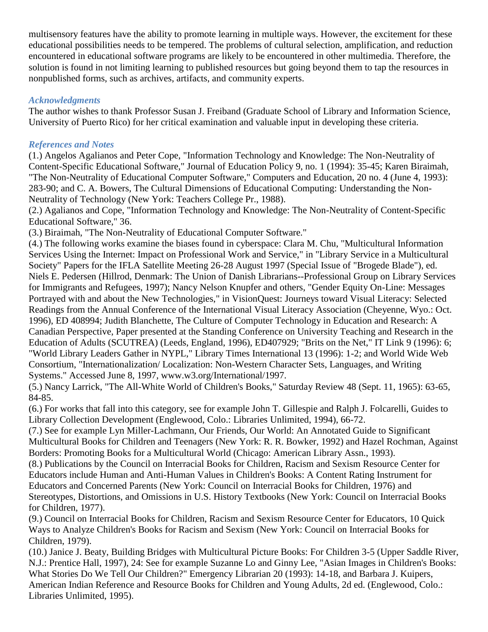multisensory features have the ability to promote learning in multiple ways. However, the excitement for these educational possibilities needs to be tempered. The problems of cultural selection, amplification, and reduction encountered in educational software programs are likely to be encountered in other multimedia. Therefore, the solution is found in not limiting learning to published resources but going beyond them to tap the resources in nonpublished forms, such as archives, artifacts, and community experts.

## *Acknowledgments*

The author wishes to thank Professor Susan J. Freiband (Graduate School of Library and Information Science, University of Puerto Rico) for her critical examination and valuable input in developing these criteria.

# *References and Notes*

(1.) Angelos Agalianos and Peter Cope, "Information Technology and Knowledge: The Non-Neutrality of Content-Specific Educational Software," Journal of Education Policy 9, no. 1 (1994): 35-45; Karen Biraimah, "The Non-Neutrality of Educational Computer Software," Computers and Education, 20 no. 4 (June 4, 1993): 283-90; and C. A. Bowers, The Cultural Dimensions of Educational Computing: Understanding the Non-Neutrality of Technology (New York: Teachers College Pr., 1988).

(2.) Agalianos and Cope, "Information Technology and Knowledge: The Non-Neutrality of Content-Specific Educational Software," 36.

(3.) Biraimah, "The Non-Neutrality of Educational Computer Software."

(4.) The following works examine the biases found in cyberspace: Clara M. Chu, "Multicultural Information Services Using the Internet: Impact on Professional Work and Service," in "Library Service in a Multicultural Society" Papers for the IFLA Satellite Meeting 26-28 August 1997 (Special Issue of "Brogede Blade"), ed. Niels E. Pedersen (Hillrod, Denmark: The Union of Danish Librarians--Professional Group on Library Services for Immigrants and Refugees, 1997); Nancy Nelson Knupfer and others, "Gender Equity On-Line: Messages Portrayed with and about the New Technologies," in VisionQuest: Journeys toward Visual Literacy: Selected Readings from the Annual Conference of the International Visual Literacy Association (Cheyenne, Wyo.: Oct. 1996), ED 408994; Judith Blanchette, The Culture of Computer Technology in Education and Research: A Canadian Perspective, Paper presented at the Standing Conference on University Teaching and Research in the Education of Adults (SCUTREA) (Leeds, England, 1996), ED407929; "Brits on the Net," IT Link 9 (1996): 6; "World Library Leaders Gather in NYPL," Library Times International 13 (1996): 1-2; and World Wide Web Consortium, "Internationalization/ Localization: Non-Western Character Sets, Languages, and Writing Systems." Accessed June 8, 1997, www.w3.org/International/1997.

(5.) Nancy Larrick, "The All-White World of Children's Books," Saturday Review 48 (Sept. 11, 1965): 63-65, 84-85.

(6.) For works that fall into this category, see for example John T. Gillespie and Ralph J. Folcarelli, Guides to Library Collection Development (Englewood, Colo.: Libraries Unlimited, 1994), 66-72.

(7.) See for example Lyn Miller-Lachmann, Our Friends, Our World: An Annotated Guide to Significant Multicultural Books for Children and Teenagers (New York: R. R. Bowker, 1992) and Hazel Rochman, Against Borders: Promoting Books for a Multicultural World (Chicago: American Library Assn., 1993).

(8.) Publications by the Council on Interracial Books for Children, Racism and Sexism Resource Center for Educators include Human and Anti-Human Values in Children's Books: A Content Rating Instrument for Educators and Concerned Parents (New York: Council on Interracial Books for Children, 1976) and Stereotypes, Distortions, and Omissions in U.S. History Textbooks (New York: Council on Interracial Books for Children, 1977).

(9.) Council on Interracial Books for Children, Racism and Sexism Resource Center for Educators, 10 Quick Ways to Analyze Children's Books for Racism and Sexism (New York: Council on Interracial Books for Children, 1979).

(10.) Janice J. Beaty, Building Bridges with Multicultural Picture Books: For Children 3-5 (Upper Saddle River, N.J.: Prentice Hall, 1997), 24: See for example Suzanne Lo and Ginny Lee, "Asian Images in Children's Books: What Stories Do We Tell Our Children?" Emergency Librarian 20 (1993): 14-18, and Barbara J. Kuipers, American Indian Reference and Resource Books for Children and Young Adults, 2d ed. (Englewood, Colo.: Libraries Unlimited, 1995).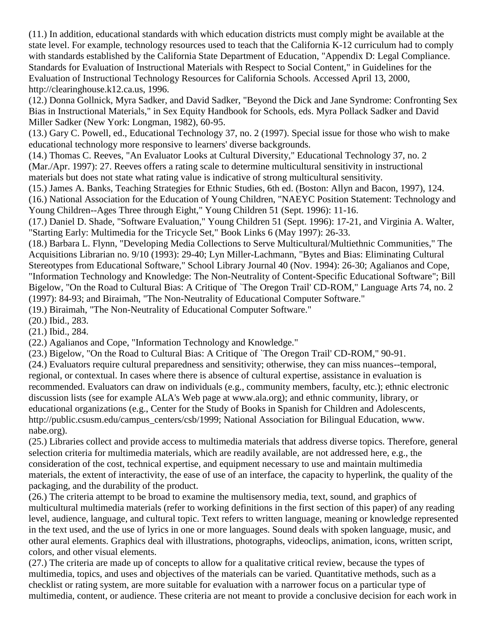(11.) In addition, educational standards with which education districts must comply might be available at the state level. For example, technology resources used to teach that the California K-12 curriculum had to comply with standards established by the California State Department of Education, "Appendix D: Legal Compliance. Standards for Evaluation of Instructional Materials with Respect to Social Content," in Guidelines for the Evaluation of Instructional Technology Resources for California Schools. Accessed April 13, 2000, http://clearinghouse.k12.ca.us, 1996.

(12.) Donna Gollnick, Myra Sadker, and David Sadker, "Beyond the Dick and Jane Syndrome: Confronting Sex Bias in Instructional Materials," in Sex Equity Handbook for Schools, eds. Myra Pollack Sadker and David Miller Sadker (New York: Longman, 1982), 60-95.

(13.) Gary C. Powell, ed., Educational Technology 37, no. 2 (1997). Special issue for those who wish to make educational technology more responsive to learners' diverse backgrounds.

(14.) Thomas C. Reeves, "An Evaluator Looks at Cultural Diversity," Educational Technology 37, no. 2 (Mar./Apr. 1997): 27. Reeves offers a rating scale to determine multicultural sensitivity in instructional materials but does not state what rating value is indicative of strong multicultural sensitivity.

(15.) James A. Banks, Teaching Strategies for Ethnic Studies, 6th ed. (Boston: Allyn and Bacon, 1997), 124. (16.) National Association for the Education of Young Children, "NAEYC Position Statement: Technology and Young Children--Ages Three through Eight," Young Children 51 (Sept. 1996): 11-16.

(17.) Daniel D. Shade, "Software Evaluation," Young Children 51 (Sept. 1996): 17-21, and Virginia A. Walter, "Starting Early: Multimedia for the Tricycle Set," Book Links 6 (May 1997): 26-33.

(18.) Barbara L. Flynn, "Developing Media Collections to Serve Multicultural/Multiethnic Communities," The Acquisitions Librarian no. 9/10 (1993): 29-40; Lyn Miller-Lachmann, "Bytes and Bias: Eliminating Cultural Stereotypes from Educational Software," School Library Journal 40 (Nov. 1994): 26-30; Agalianos and Cope, "Information Technology and Knowledge: The Non-Neutrality of Content-Specific Educational Software"; Bill Bigelow, "On the Road to Cultural Bias: A Critique of `The Oregon Trail' CD-ROM," Language Arts 74, no. 2 (1997): 84-93; and Biraimah, "The Non-Neutrality of Educational Computer Software."

(19.) Biraimah, "The Non-Neutrality of Educational Computer Software."

(20.) Ibid., 283.

(21.) Ibid., 284.

(22.) Agalianos and Cope, "Information Technology and Knowledge."

(23.) Bigelow, "On the Road to Cultural Bias: A Critique of `The Oregon Trail' CD-ROM," 90-91.

(24.) Evaluators require cultural preparedness and sensitivity; otherwise, they can miss nuances--temporal, regional, or contextual. In cases where there is absence of cultural expertise, assistance in evaluation is recommended. Evaluators can draw on individuals (e.g., community members, faculty, etc.); ethnic electronic discussion lists (see for example ALA's Web page at www.ala.org); and ethnic community, library, or educational organizations (e.g., Center for the Study of Books in Spanish for Children and Adolescents, http://public.csusm.edu/campus\_centers/csb/1999; National Association for Bilingual Education, www. nabe.org).

(25.) Libraries collect and provide access to multimedia materials that address diverse topics. Therefore, general selection criteria for multimedia materials, which are readily available, are not addressed here, e.g., the consideration of the cost, technical expertise, and equipment necessary to use and maintain multimedia materials, the extent of interactivity, the ease of use of an interface, the capacity to hyperlink, the quality of the packaging, and the durability of the product.

(26.) The criteria attempt to be broad to examine the multisensory media, text, sound, and graphics of multicultural multimedia materials (refer to working definitions in the first section of this paper) of any reading level, audience, language, and cultural topic. Text refers to written language, meaning or knowledge represented in the text used, and the use of lyrics in one or more languages. Sound deals with spoken language, music, and other aural elements. Graphics deal with illustrations, photographs, videoclips, animation, icons, written script, colors, and other visual elements.

(27.) The criteria are made up of concepts to allow for a qualitative critical review, because the types of multimedia, topics, and uses and objectives of the materials can be varied. Quantitative methods, such as a checklist or rating system, are more suitable for evaluation with a narrower focus on a particular type of multimedia, content, or audience. These criteria are not meant to provide a conclusive decision for each work in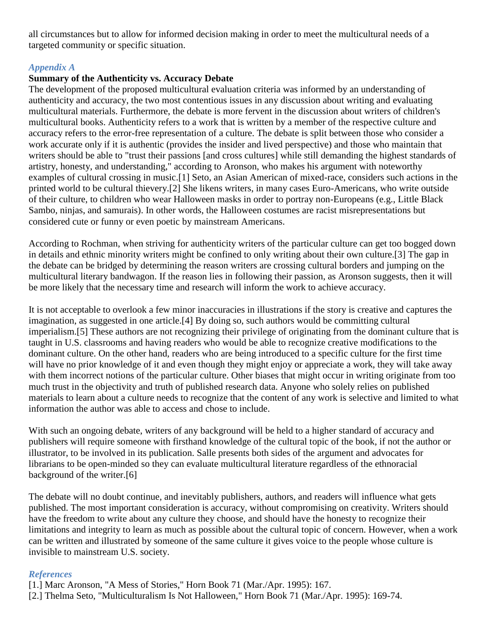all circumstances but to allow for informed decision making in order to meet the multicultural needs of a targeted community or specific situation.

## *Appendix A*

## **Summary of the Authenticity vs. Accuracy Debate**

The development of the proposed multicultural evaluation criteria was informed by an understanding of authenticity and accuracy, the two most contentious issues in any discussion about writing and evaluating multicultural materials. Furthermore, the debate is more fervent in the discussion about writers of children's multicultural books. Authenticity refers to a work that is written by a member of the respective culture and accuracy refers to the error-free representation of a culture. The debate is split between those who consider a work accurate only if it is authentic (provides the insider and lived perspective) and those who maintain that writers should be able to "trust their passions [and cross cultures] while still demanding the highest standards of artistry, honesty, and understanding," according to Aronson, who makes his argument with noteworthy examples of cultural crossing in music.[1] Seto, an Asian American of mixed-race, considers such actions in the printed world to be cultural thievery.[2] She likens writers, in many cases Euro-Americans, who write outside of their culture, to children who wear Halloween masks in order to portray non-Europeans (e.g., Little Black Sambo, ninjas, and samurais). In other words, the Halloween costumes are racist misrepresentations but considered cute or funny or even poetic by mainstream Americans.

According to Rochman, when striving for authenticity writers of the particular culture can get too bogged down in details and ethnic minority writers might be confined to only writing about their own culture.[3] The gap in the debate can be bridged by determining the reason writers are crossing cultural borders and jumping on the multicultural literary bandwagon. If the reason lies in following their passion, as Aronson suggests, then it will be more likely that the necessary time and research will inform the work to achieve accuracy.

It is not acceptable to overlook a few minor inaccuracies in illustrations if the story is creative and captures the imagination, as suggested in one article.[4] By doing so, such authors would be committing cultural imperialism.[5] These authors are not recognizing their privilege of originating from the dominant culture that is taught in U.S. classrooms and having readers who would be able to recognize creative modifications to the dominant culture. On the other hand, readers who are being introduced to a specific culture for the first time will have no prior knowledge of it and even though they might enjoy or appreciate a work, they will take away with them incorrect notions of the particular culture. Other biases that might occur in writing originate from too much trust in the objectivity and truth of published research data. Anyone who solely relies on published materials to learn about a culture needs to recognize that the content of any work is selective and limited to what information the author was able to access and chose to include.

With such an ongoing debate, writers of any background will be held to a higher standard of accuracy and publishers will require someone with firsthand knowledge of the cultural topic of the book, if not the author or illustrator, to be involved in its publication. Salle presents both sides of the argument and advocates for librarians to be open-minded so they can evaluate multicultural literature regardless of the ethnoracial background of the writer.[6]

The debate will no doubt continue, and inevitably publishers, authors, and readers will influence what gets published. The most important consideration is accuracy, without compromising on creativity. Writers should have the freedom to write about any culture they choose, and should have the honesty to recognize their limitations and integrity to learn as much as possible about the cultural topic of concern. However, when a work can be written and illustrated by someone of the same culture it gives voice to the people whose culture is invisible to mainstream U.S. society.

# *References*

[1.] Marc Aronson, "A Mess of Stories," Horn Book 71 (Mar./Apr. 1995): 167.

[2.] Thelma Seto, "Multiculturalism Is Not Halloween," Horn Book 71 (Mar./Apr. 1995): 169-74.